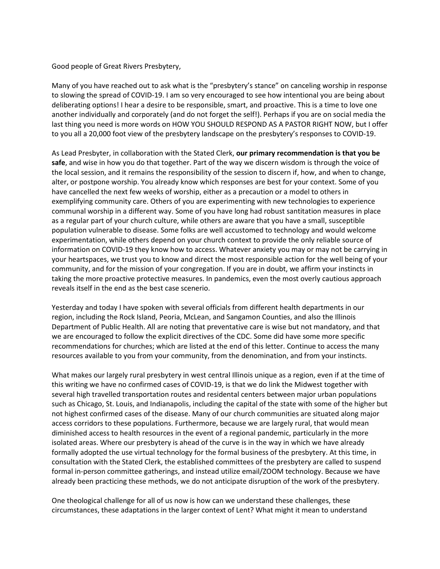Good people of Great Rivers Presbytery,

Many of you have reached out to ask what is the "presbytery's stance" on canceling worship in response to slowing the spread of COVID-19. I am so very encouraged to see how intentional you are being about deliberating options! I hear a desire to be responsible, smart, and proactive. This is a time to love one another individually and corporately (and do not forget the self!). Perhaps if you are on social media the last thing you need is more words on HOW YOU SHOULD RESPOND AS A PASTOR RIGHT NOW, but I offer to you all a 20,000 foot view of the presbytery landscape on the presbytery's responses to COVID-19.

As Lead Presbyter, in collaboration with the Stated Clerk, **our primary recommendation is that you be safe**, and wise in how you do that together. Part of the way we discern wisdom is through the voice of the local session, and it remains the responsibility of the session to discern if, how, and when to change, alter, or postpone worship. You already know which responses are best for your context. Some of you have cancelled the next few weeks of worship, either as a precaution or a model to others in exemplifying community care. Others of you are experimenting with new technologies to experience communal worship in a different way. Some of you have long had robust santitation measures in place as a regular part of your church culture, while others are aware that you have a small, susceptible population vulnerable to disease. Some folks are well accustomed to technology and would welcome experimentation, while others depend on your church context to provide the only reliable source of information on COVID-19 they know how to access. Whatever anxiety you may or may not be carrying in your heartspaces, we trust you to know and direct the most responsible action for the well being of your community, and for the mission of your congregation. If you are in doubt, we affirm your instincts in taking the more proactive protective measures. In pandemics, even the most overly cautious approach reveals itself in the end as the best case scenerio.

Yesterday and today I have spoken with several officials from different health departments in our region, including the Rock Island, Peoria, McLean, and Sangamon Counties, and also the Illinois Department of Public Health. All are noting that preventative care is wise but not mandatory, and that we are encouraged to follow the explicit directives of the CDC. Some did have some more specific recommendations for churches; which are listed at the end of this letter. Continue to access the many resources available to you from your community, from the denomination, and from your instincts.

What makes our largely rural presbytery in west central Illinois unique as a region, even if at the time of this writing we have no confirmed cases of COVID-19, is that we do link the Midwest together with several high travelled transportation routes and residental centers between major urban populations such as Chicago, St. Louis, and Indianapolis, including the capital of the state with some of the higher but not highest confirmed cases of the disease. Many of our church communities are situated along major access corridors to these populations. Furthermore, because we are largely rural, that would mean diminished access to health resources in the event of a regional pandemic, particularly in the more isolated areas. Where our presbytery is ahead of the curve is in the way in which we have already formally adopted the use virtual technology for the formal business of the presbytery. At this time, in consultation with the Stated Clerk, the established committees of the presbytery are called to suspend formal in-person committee gatherings, and instead utilize email/ZOOM technology. Because we have already been practicing these methods, we do not anticipate disruption of the work of the presbytery.

One theological challenge for all of us now is how can we understand these challenges, these circumstances, these adaptations in the larger context of Lent? What might it mean to understand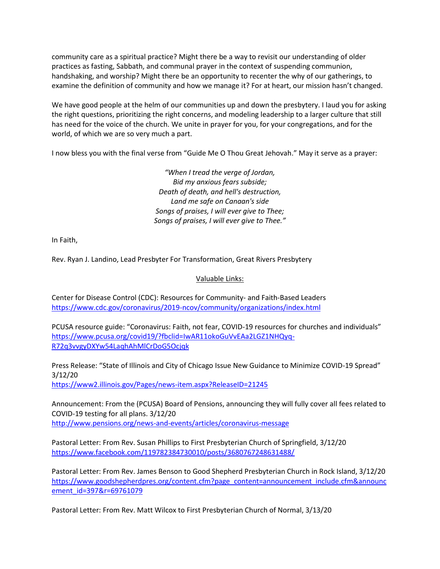community care as a spiritual practice? Might there be a way to revisit our understanding of older practices as fasting, Sabbath, and communal prayer in the context of suspending communion, handshaking, and worship? Might there be an opportunity to recenter the why of our gatherings, to examine the definition of community and how we manage it? For at heart, our mission hasn't changed.

We have good people at the helm of our communities up and down the presbytery. I laud you for asking the right questions, prioritizing the right concerns, and modeling leadership to a larger culture that still has need for the voice of the church. We unite in prayer for you, for your congregations, and for the world, of which we are so very much a part.

I now bless you with the final verse from "Guide Me O Thou Great Jehovah." May it serve as a prayer:

*"When I tread the verge of Jordan, Bid my anxious fears subside; Death of death, and hell's destruction, Land me safe on Canaan's side Songs of praises, I will ever give to Thee; Songs of praises, I will ever give to Thee."*

In Faith,

Rev. Ryan J. Landino, Lead Presbyter For Transformation, Great Rivers Presbytery

## Valuable Links:

Center for Disease Control (CDC): Resources for Community- and Faith-Based Leaders <https://www.cdc.gov/coronavirus/2019-ncov/community/organizations/index.html>

PCUSA resource guide: "Coronavirus: Faith, not fear, COVID-19 resources for churches and individuals" [https://www.pcusa.org/covid19/?fbclid=IwAR11okoGuVvEAa2LGZ1NHQyq-](https://www.pcusa.org/covid19/?fbclid=IwAR11okoGuVvEAa2LGZ1NHQyq-R72q3vvgyDXYw54LaqhAhMlCrDoG5Ocjqk)[R72q3vvgyDXYw54LaqhAhMlCrDoG5Ocjqk](https://www.pcusa.org/covid19/?fbclid=IwAR11okoGuVvEAa2LGZ1NHQyq-R72q3vvgyDXYw54LaqhAhMlCrDoG5Ocjqk)

Press Release: "State of Illinois and City of Chicago Issue New Guidance to Minimize COVID-19 Spread" 3/12/20

<https://www2.illinois.gov/Pages/news-item.aspx?ReleaseID=21245>

Announcement: From the (PCUSA) Board of Pensions, announcing they will fully cover all fees related to COVID-19 testing for all plans. 3/12/20 <http://www.pensions.org/news-and-events/articles/coronavirus-message>

Pastoral Letter: From Rev. Susan Phillips to First Presbyterian Church of Springfield, 3/12/20 <https://www.facebook.com/119782384730010/posts/3680767248631488/>

Pastoral Letter: From Rev. James Benson to Good Shepherd Presbyterian Church in Rock Island, 3/12/20 [https://www.goodshepherdpres.org/content.cfm?page\\_content=announcement\\_include.cfm&announc](https://www.goodshepherdpres.org/content.cfm?page_content=announcement_include.cfm&announcement_id=397&r=69761079) [ement\\_id=397&r=69761079](https://www.goodshepherdpres.org/content.cfm?page_content=announcement_include.cfm&announcement_id=397&r=69761079)

Pastoral Letter: From Rev. Matt Wilcox to First Presbyterian Church of Normal, 3/13/20